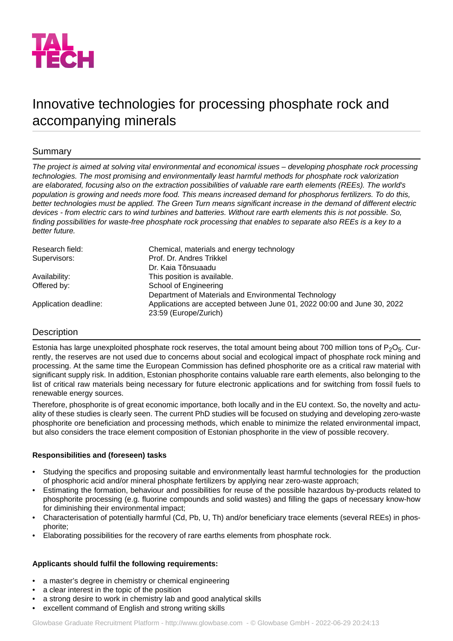

# Innovative technologies for processing phosphate rock and accompanying minerals

## Summary

*The project is aimed at solving vital environmental and economical issues – developing phosphate rock processing technologies. The most promising and environmentally least harmful methods for phosphate rock valorization are elaborated, focusing also on the extraction possibilities of valuable rare earth elements (REEs). The world's* population is growing and needs more food. This means increased demand for phosphorus fertilizers. To do this, better technologies must be applied. The Green Turn means significant increase in the demand of different electric devices - from electric cars to wind turbines and batteries. Without rare earth elements this is not possible. So, *finding possibilities for waste-free phosphate rock processing that enables to separate also REEs is a key to a better future.*

| Chemical, materials and energy technology                                                        |
|--------------------------------------------------------------------------------------------------|
| Prof. Dr. Andres Trikkel                                                                         |
| Dr. Kaja Tõnsuaadu                                                                               |
| This position is available.                                                                      |
| School of Engineering                                                                            |
| Department of Materials and Environmental Technology                                             |
| Applications are accepted between June 01, 2022 00:00 and June 30, 2022<br>23:59 (Europe/Zurich) |
|                                                                                                  |

## **Description**

Estonia has large unexploited phosphate rock reserves, the total amount being about 700 million tons of P<sub>2</sub>O<sub>5</sub>. Currently, the reserves are not used due to concerns about social and ecological impact of phosphate rock mining and processing. At the same time the European Commission has defined phosphorite ore as a critical raw material with significant supply risk. In addition, Estonian phosphorite contains valuable rare earth elements, also belonging to the list of critical raw materials being necessary for future electronic applications and for switching from fossil fuels to renewable energy sources.

Therefore, phosphorite is of great economic importance, both locally and in the EU context. So, the novelty and actuality of these studies is clearly seen. The current PhD studies will be focused on studying and developing zero-waste phosphorite ore beneficiation and processing methods, which enable to minimize the related environmental impact, but also considers the trace element composition of Estonian phosphorite in the view of possible recovery.

## **Responsibilities and (foreseen) tasks**

- Studying the specifics and proposing suitable and environmentally least harmful technologies for the production of phosphoric acid and/or mineral phosphate fertilizers by applying near zero-waste approach;
- Estimating the formation, behaviour and possibilities for reuse of the possible hazardous by-products related to phosphorite processing (e.g. fluorine compounds and solid wastes) and filling the gaps of necessary know-how for diminishing their environmental impact;
- Characterisation of potentially harmful (Cd, Pb, U, Th) and/or beneficiary trace elements (several REEs) in phosphorite;
- Elaborating possibilities for the recovery of rare earths elements from phosphate rock.

## **Applicants should fulfil the following requirements:**

- a master's degree in chemistry or chemical engineering
- a clear interest in the topic of the position
- a strong desire to work in chemistry lab and good analytical skills
- excellent command of English and strong writing skills

Glowbase Graduate Recruitment Platform -<http://www.glowbase.com> - © Glowbase GmbH - 2022-06-29 20:24:13